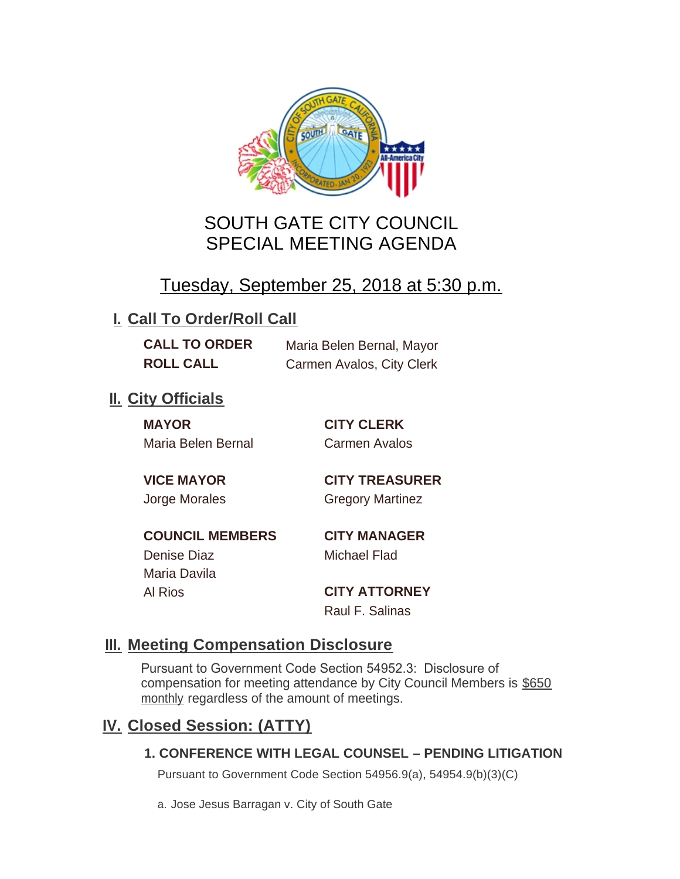

# SOUTH GATE CITY COUNCIL SPECIAL MEETING AGENDA

# Tuesday, September 25, 2018 at 5:30 p.m.

## **I. Call To Order/Roll Call**

**CALL TO ORDER** Maria Belen Bernal, Mayor **ROLL CALL** Carmen Avalos, City Clerk

# **II.** City Officials

**MAYOR CITY CLERK** Maria Belen Bernal Carmen Avalos

**VICE MAYOR CITY TREASURER** Jorge Morales Gregory Martinez

**COUNCIL MEMBERS CITY MANAGER** Denise Diaz Michael Flad Maria Davila

Al Rios **CITY ATTORNEY**

Raul F. Salinas

### **Meeting Compensation Disclosure III.**

Pursuant to Government Code Section 54952.3: Disclosure of compensation for meeting attendance by City Council Members is \$650 monthly regardless of the amount of meetings.

## **Closed Session: (ATTY) IV.**

#### **1. CONFERENCE WITH LEGAL COUNSEL – PENDING LITIGATION**

Pursuant to Government Code Section 54956.9(a), 54954.9(b)(3)(C)

a. Jose Jesus Barragan v. City of South Gate